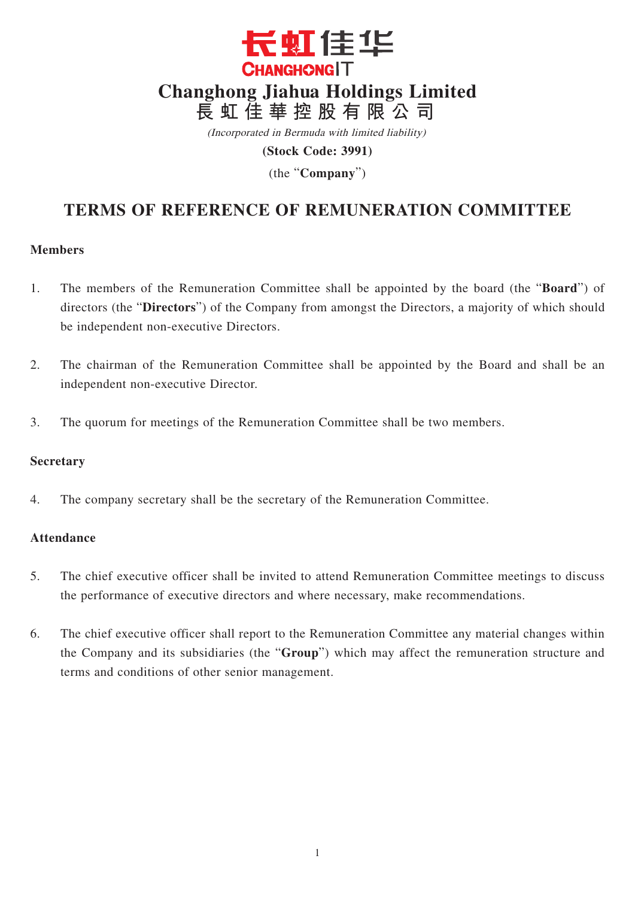

(Incorporated in Bermuda with limited liability)

**(Stock Code: 3991)**

(the "**Company**")

# **TERMS OF REFERENCE OF REMUNERATION COMMITTEE**

### **Members**

- 1. The members of the Remuneration Committee shall be appointed by the board (the "**Board**") of directors (the "**Directors**") of the Company from amongst the Directors, a majority of which should be independent non-executive Directors.
- 2. The chairman of the Remuneration Committee shall be appointed by the Board and shall be an independent non-executive Director.
- 3. The quorum for meetings of the Remuneration Committee shall be two members.

### **Secretary**

4. The company secretary shall be the secretary of the Remuneration Committee.

## **Attendance**

- 5. The chief executive officer shall be invited to attend Remuneration Committee meetings to discuss the performance of executive directors and where necessary, make recommendations.
- 6. The chief executive officer shall report to the Remuneration Committee any material changes within the Company and its subsidiaries (the "**Group**") which may affect the remuneration structure and terms and conditions of other senior management.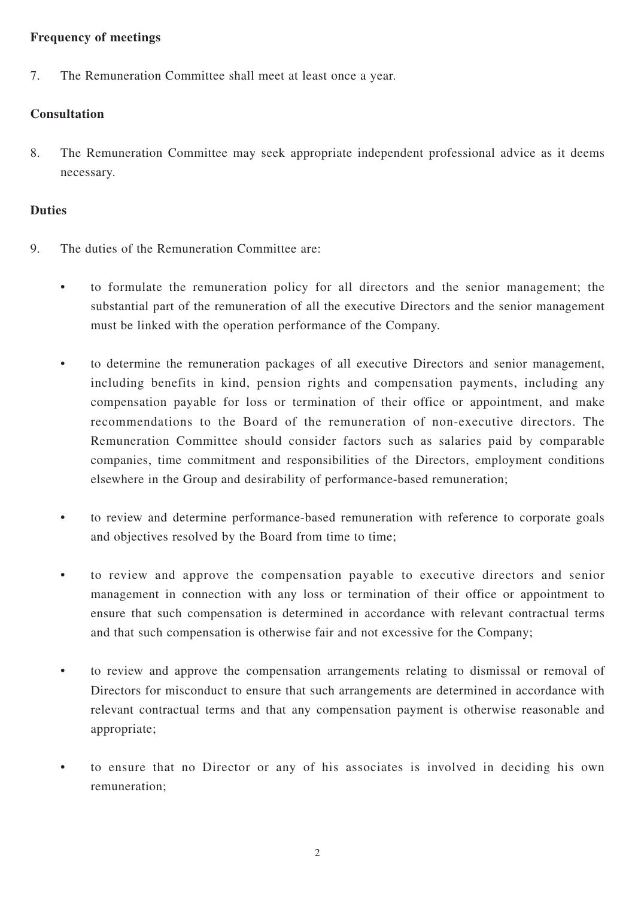## **Frequency of meetings**

7. The Remuneration Committee shall meet at least once a year.

# **Consultation**

8. The Remuneration Committee may seek appropriate independent professional advice as it deems necessary.

## **Duties**

- 9. The duties of the Remuneration Committee are:
	- to formulate the remuneration policy for all directors and the senior management; the substantial part of the remuneration of all the executive Directors and the senior management must be linked with the operation performance of the Company.
	- to determine the remuneration packages of all executive Directors and senior management, including benefits in kind, pension rights and compensation payments, including any compensation payable for loss or termination of their office or appointment, and make recommendations to the Board of the remuneration of non-executive directors. The Remuneration Committee should consider factors such as salaries paid by comparable companies, time commitment and responsibilities of the Directors, employment conditions elsewhere in the Group and desirability of performance-based remuneration;
	- to review and determine performance-based remuneration with reference to corporate goals and objectives resolved by the Board from time to time;
	- to review and approve the compensation payable to executive directors and senior management in connection with any loss or termination of their office or appointment to ensure that such compensation is determined in accordance with relevant contractual terms and that such compensation is otherwise fair and not excessive for the Company;
	- to review and approve the compensation arrangements relating to dismissal or removal of Directors for misconduct to ensure that such arrangements are determined in accordance with relevant contractual terms and that any compensation payment is otherwise reasonable and appropriate;
	- to ensure that no Director or any of his associates is involved in deciding his own remuneration;